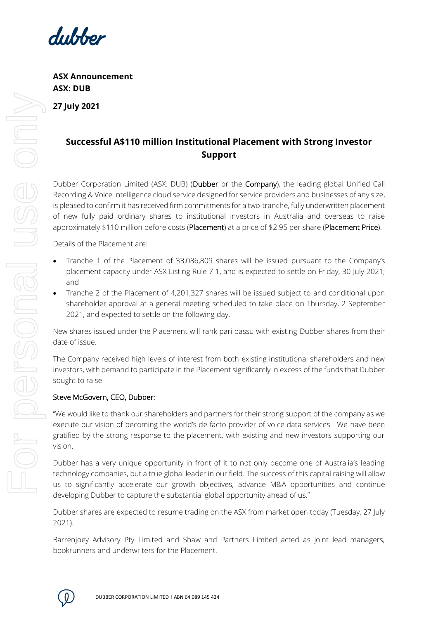

**ASX Announcement ASX: DUB 27 July 2021**

## **Successful A\$110 million Institutional Placement with Strong Investor Support**

Dubber Corporation Limited (ASX: DUB) (Dubber or the Company), the leading global Unified Call Recording & Voice Intelligence cloud service designed for service providers and businesses of any size, is pleased to confirm it has received firm commitments for a two-tranche, fully underwritten placement of new fully paid ordinary shares to institutional investors in Australia and overseas to raise approximately \$110 million before costs (Placement) at a price of \$2.95 per share (Placement Price).

Details of the Placement are:

- Tranche 1 of the Placement of 33,086,809 shares will be issued pursuant to the Company's placement capacity under ASX Listing Rule 7.1, and is expected to settle on Friday, 30 July 2021; and
- Tranche 2 of the Placement of 4,201,327 shares will be issued subject to and conditional upon shareholder approval at a general meeting scheduled to take place on Thursday, 2 September 2021, and expected to settle on the following day.

New shares issued under the Placement will rank pari passu with existing Dubber shares from their date of issue.

The Company received high levels of interest from both existing institutional shareholders and new investors, with demand to participate in the Placement significantly in excess of the funds that Dubber sought to raise.

## Steve McGovern, CEO, Dubber:

"We would like to thank our shareholders and partners for their strong support of the company as we execute our vision of becoming the world's de facto provider of voice data services. We have been gratified by the strong response to the placement, with existing and new investors supporting our vision.

Dubber has a very unique opportunity in front of it to not only become one of Australia's leading technology companies, but a true global leader in our field. The success of this capital raising will allow us to significantly accelerate our growth objectives, advance M&A opportunities and continue developing Dubber to capture the substantial global opportunity ahead of us."

Dubber shares are expected to resume trading on the ASX from market open today (Tuesday, 27 July 2021).

Barrenjoey Advisory Pty Limited and Shaw and Partners Limited acted as joint lead managers, bookrunners and underwriters for the Placement.